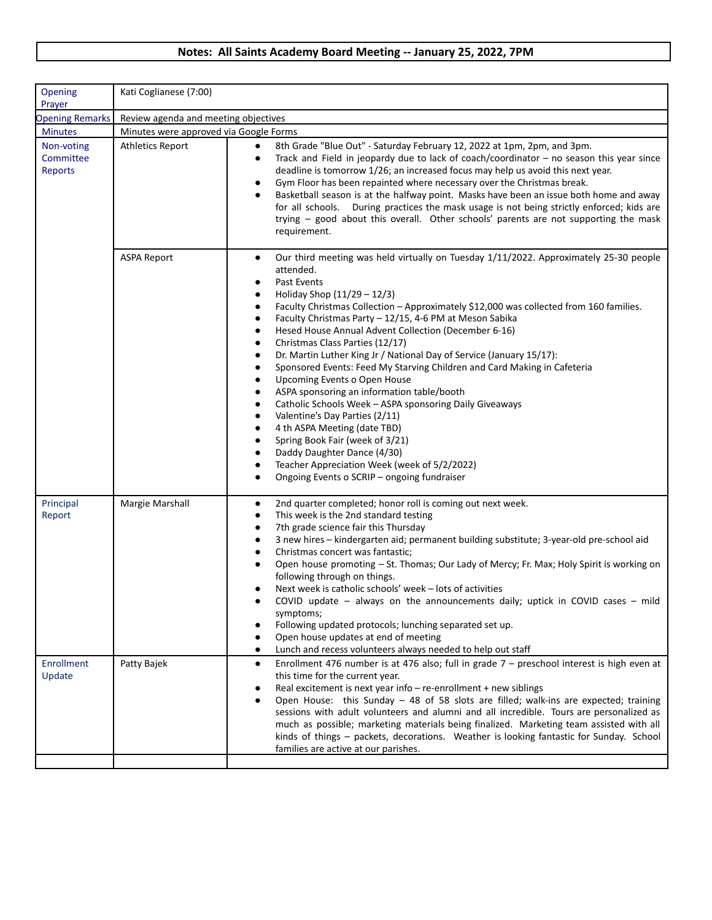## **Notes: All Saints Academy Board Meeting -- January 25, 2022, 7PM**

| Opening<br>Prayer                         | Kati Coglianese (7:00)                 |                                                                                                                                                                                                                                                                                                                                                                                                                                                                                                                                                                                                                                                                                                                                                                                                                                                                                                                                                                           |
|-------------------------------------------|----------------------------------------|---------------------------------------------------------------------------------------------------------------------------------------------------------------------------------------------------------------------------------------------------------------------------------------------------------------------------------------------------------------------------------------------------------------------------------------------------------------------------------------------------------------------------------------------------------------------------------------------------------------------------------------------------------------------------------------------------------------------------------------------------------------------------------------------------------------------------------------------------------------------------------------------------------------------------------------------------------------------------|
| <b>Opening Remarks</b>                    | Review agenda and meeting objectives   |                                                                                                                                                                                                                                                                                                                                                                                                                                                                                                                                                                                                                                                                                                                                                                                                                                                                                                                                                                           |
| <b>Minutes</b>                            | Minutes were approved via Google Forms |                                                                                                                                                                                                                                                                                                                                                                                                                                                                                                                                                                                                                                                                                                                                                                                                                                                                                                                                                                           |
| Non-voting<br>Committee<br><b>Reports</b> | <b>Athletics Report</b>                | 8th Grade "Blue Out" - Saturday February 12, 2022 at 1pm, 2pm, and 3pm.<br>٠<br>Track and Field in jeopardy due to lack of coach/coordinator $-$ no season this year since<br>deadline is tomorrow 1/26; an increased focus may help us avoid this next year.<br>Gym Floor has been repainted where necessary over the Christmas break.<br>Basketball season is at the halfway point. Masks have been an issue both home and away<br>for all schools.  During practices the mask usage is not being strictly enforced; kids are<br>trying – good about this overall. Other schools' parents are not supporting the mask<br>requirement.                                                                                                                                                                                                                                                                                                                                   |
|                                           | <b>ASPA Report</b>                     | Our third meeting was held virtually on Tuesday 1/11/2022. Approximately 25-30 people<br>٠<br>attended.<br>Past Events<br>Holiday Shop (11/29 - 12/3)<br>Faculty Christmas Collection - Approximately \$12,000 was collected from 160 families.<br>٠<br>Faculty Christmas Party - 12/15, 4-6 PM at Meson Sabika<br>Hesed House Annual Advent Collection (December 6-16)<br>$\bullet$<br>Christmas Class Parties (12/17)<br>Dr. Martin Luther King Jr / National Day of Service (January 15/17):<br>Sponsored Events: Feed My Starving Children and Card Making in Cafeteria<br>Upcoming Events o Open House<br>ASPA sponsoring an information table/booth<br>Catholic Schools Week - ASPA sponsoring Daily Giveaways<br>Valentine's Day Parties (2/11)<br>4 th ASPA Meeting (date TBD)<br>$\bullet$<br>Spring Book Fair (week of 3/21)<br>Daddy Daughter Dance (4/30)<br>Teacher Appreciation Week (week of 5/2/2022)<br>Ongoing Events o SCRIP – ongoing fundraiser<br>٠ |
| Principal<br>Report                       | Margie Marshall                        | 2nd quarter completed; honor roll is coming out next week.<br>٠<br>This week is the 2nd standard testing<br>٠<br>7th grade science fair this Thursday<br>3 new hires - kindergarten aid; permanent building substitute; 3-year-old pre-school aid<br>Christmas concert was fantastic;<br>Open house promoting - St. Thomas; Our Lady of Mercy; Fr. Max; Holy Spirit is working on<br>following through on things.<br>Next week is catholic schools' week - lots of activities<br>COVID update $-$ always on the announcements daily; uptick in COVID cases $-$ mild<br>symptoms;<br>Following updated protocols; lunching separated set up.<br>Open house updates at end of meeting<br>Lunch and recess volunteers always needed to help out staff                                                                                                                                                                                                                        |
| Enrollment<br>Update                      | Patty Bajek                            | Enrollment 476 number is at 476 also; full in grade $7$ – preschool interest is high even at<br>٠<br>this time for the current year.<br>Real excitement is next year info $-$ re-enrollment $+$ new siblings<br>Open House: this Sunday - 48 of 58 slots are filled; walk-ins are expected; training<br>sessions with adult volunteers and alumni and all incredible. Tours are personalized as<br>much as possible; marketing materials being finalized. Marketing team assisted with all<br>kinds of things - packets, decorations. Weather is looking fantastic for Sunday. School<br>families are active at our parishes.                                                                                                                                                                                                                                                                                                                                             |